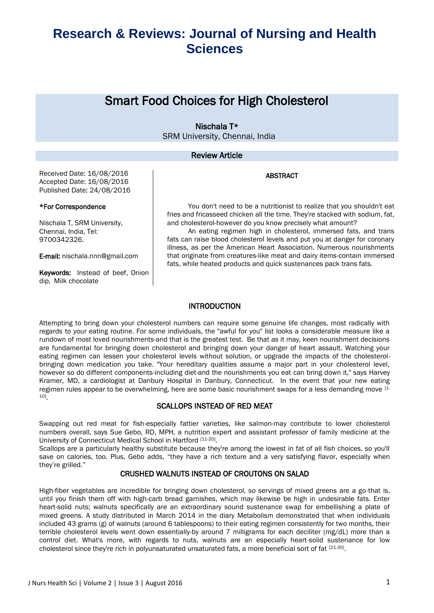### Smart Food Choices for High Cholesterol

### Nischala T\* SRM University, Chennai, India

#### Review Article

ABSTRACT

Received Date: 16/08/2016 Accepted Date: 16/08/2016 Published Date: 24/08/2016

#### \*For Correspondence

Nischala T, SRM University, Chennai, India, Tel: 9700342326.

E-mail: nischala.nnn@gmail.com

Keywords: Instead of beef, Onion dip, Milk chocolate

You don't need to be a nutritionist to realize that you shouldn't eat fries and fricasseed chicken all the time. They're stacked with sodium, fat, and cholesterol-however do you know precisely what amount?

An eating regimen high in cholesterol, immersed fats, and trans fats can raise blood cholesterol levels and put you at danger for coronary illness, as per the American Heart Association. Numerous nourishments that originate from creatures-like meat and dairy items-contain immersed fats, while heated products and quick sustenances pack trans fats.

#### **INTRODUCTION**

Attempting to bring down your cholesterol numbers can require some genuine life changes, most radically with regards to your eating routine. For some individuals, the "awful for you" list looks a considerable measure like a rundown of most loved nourishments-and that is the greatest test. Be that as it may, keen nourishment decisions are fundamental for bringing down cholesterol and bringing down your danger of heart assault. Watching your eating regimen can lessen your cholesterol levels without solution, or upgrade the impacts of the cholesterolbringing down medication you take. "Your hereditary qualities assume a major part in your cholesterol level, however so do different components-including diet-and the nourishments you eat can bring down it," says Harvey Kramer, MD, a cardiologist at Danbury Hospital in Danbury, Connecticut. In the event that your new eating regimen rules appear to be overwhelming, here are some basic nourishment swaps for a less demanding move [1- 10] .

#### SCALLOPS INSTEAD OF RED MEAT

Swapping out red meat for fish-especially fattier varieties, like salmon-may contribute to lower cholesterol numbers overall, says Sue Gebo, RD, MPH, a nutrition expert and assistant professor of family medicine at the University of Connecticut Medical School in Hartford [11-20].

Scallops are a particularly healthy substitute because they're among the lowest in fat of all fish choices, so you'll save on calories, too. Plus, Gebo adds, "they have a rich texture and a very satisfying flavor, especially when they're grilled."

#### CRUSHED WALNUTS INSTEAD OF CROUTONS ON SALAD

High-fiber vegetables are incredible for bringing down cholesterol, so servings of mixed greens are a go-that is, until you finish them off with high-carb bread garnishes, which may likewise be high in undesirable fats. Enter heart-solid nuts; walnuts specifically are an extraordinary sound sustenance swap for embellishing a plate of mixed greens. A study distributed in March 2014 in the diary Metabolism demonstrated that when individuals included 43 grams (g) of walnuts (around 6 tablespoons) to their eating regimen consistently for two months, their terrible cholesterol levels went down essentially-by around 7 milligrams for each deciliter (mg/dL) more than a control diet. What's more, with regards to nuts, walnuts are an especially heart-solid sustenance for low cholesterol since they're rich in polyunsaturated unsaturated fats, a more beneficial sort of fat [21-30].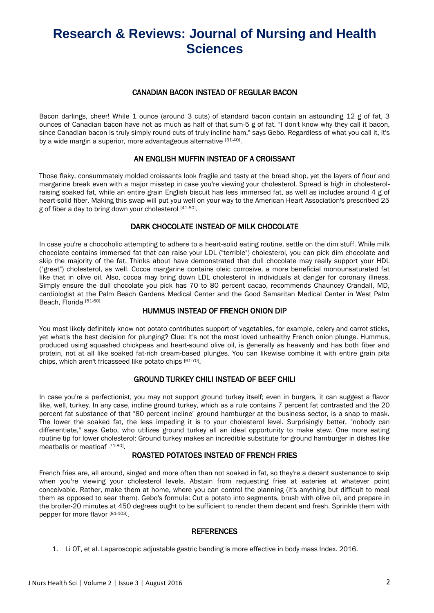#### CANADIAN BACON INSTEAD OF REGULAR BACON

Bacon darlings, cheer! While 1 ounce (around 3 cuts) of standard bacon contain an astounding 12 g of fat, 3 ounces of Canadian bacon have not as much as half of that sum-5 g of fat. "I don't know why they call it bacon, since Canadian bacon is truly simply round cuts of truly incline ham," says Gebo. Regardless of what you call it, it's by a wide margin a superior, more advantageous alternative [31-40].

### AN ENGLISH MUFFIN INSTEAD OF A CROISSANT

Those flaky, consummately molded croissants look fragile and tasty at the bread shop, yet the layers of flour and margarine break even with a major misstep in case you're viewing your cholesterol. Spread is high in cholesterolraising soaked fat, while an entire grain English biscuit has less immersed fat, as well as includes around 4 g of heart-solid fiber. Making this swap will put you well on your way to the American Heart Association's prescribed 25 g of fiber a day to bring down your cholesterol [41-50].

### DARK CHOCOLATE INSTEAD OF MILK CHOCOLATE

In case you're a chocoholic attempting to adhere to a heart-solid eating routine, settle on the dim stuff. While milk chocolate contains immersed fat that can raise your LDL ("terrible") cholesterol, you can pick dim chocolate and skip the majority of the fat. Thinks about have demonstrated that dull chocolate may really support your HDL ("great") cholesterol, as well. Cocoa margarine contains oleic corrosive, a more beneficial monounsaturated fat like that in olive oil. Also, cocoa may bring down LDL cholesterol in individuals at danger for coronary illness. Simply ensure the dull chocolate you pick has 70 to 80 percent cacao, recommends Chauncey Crandall, MD, cardiologist at the Palm Beach Gardens Medical Center and the Good Samaritan Medical Center in West Palm Beach, Florida [51-60].

#### HUMMUS INSTEAD OF FRENCH ONION DIP

You most likely definitely know not potato contributes support of vegetables, for example, celery and carrot sticks, yet what's the best decision for plunging? Clue: It's not the most loved unhealthy French onion plunge. Hummus, produced using squashed chickpeas and heart-sound olive oil, is generally as heavenly and has both fiber and protein, not at all like soaked fat-rich cream-based plunges. You can likewise combine it with entire grain pita chips, which aren't fricasseed like potato chips [61-70].

### GROUND TURKEY CHILI INSTEAD OF BEEF CHILI

In case you're a perfectionist, you may not support ground turkey itself; even in burgers, it can suggest a flavor like, well, turkey. In any case, incline ground turkey, which as a rule contains 7 percent fat contrasted and the 20 percent fat substance of that "80 percent incline" ground hamburger at the business sector, is a snap to mask. The lower the soaked fat, the less impeding it is to your cholesterol level. Surprisingly better, "nobody can differentiate," says Gebo, who utilizes ground turkey all an ideal opportunity to make stew. One more eating routine tip for lower cholesterol: Ground turkey makes an incredible substitute for ground hamburger in dishes like meatballs or meatloaf [71-80].

### ROASTED POTATOES INSTEAD OF FRENCH FRIES

French fries are, all around, singed and more often than not soaked in fat, so they're a decent sustenance to skip when you're viewing your cholesterol levels. Abstain from requesting fries at eateries at whatever point conceivable. Rather, make them at home, where you can control the planning (it's anything but difficult to meal them as opposed to sear them). Gebo's formula: Cut a potato into segments, brush with olive oil, and prepare in the broiler-20 minutes at 450 degrees ought to be sufficient to render them decent and fresh. Sprinkle them with pepper for more flavor [81-103].

#### **REFERENCES**

1. Li OT, et al. Laparoscopic adjustable gastric banding is more effective in body mass Index. 2016.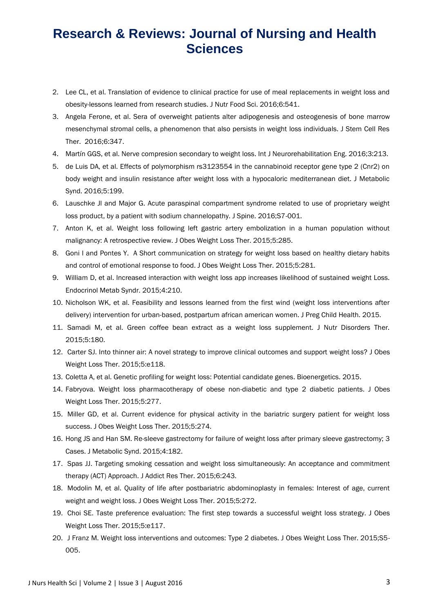- 2. Lee CL, et al. Translation of evidence to clinical practice for use of meal replacements in weight loss and obesity-lessons learned from research studies. J Nutr Food Sci. 2016;6:541.
- 3. Angela Ferone, et al. Sera of overweight patients alter adipogenesis and osteogenesis of bone marrow mesenchymal stromal cells, a phenomenon that also persists in weight loss individuals. J Stem Cell Res Ther. 2016;6:347.
- 4. Martín GGS, et al. Nerve compresion secondary to weight loss. Int J Neurorehabilitation Eng. 2016;3:213.
- 5. de Luis DA, et al. Effects of polymorphism rs3123554 in the cannabinoid receptor gene type 2 (Cnr2) on body weight and insulin resistance after weight loss with a hypocaloric mediterranean diet. J Metabolic Synd. 2016;5:199.
- 6. Lauschke Jl and Major G. Acute paraspinal compartment syndrome related to use of proprietary weight loss product, by a patient with sodium channelopathy. J Spine. 2016;S7-001.
- 7. Anton K, et al. Weight loss following left gastric artery embolization in a human population without malignancy: A retrospective review. J Obes Weight Loss Ther. 2015;5:285.
- 8. Goni I and Pontes Y. A Short communication on strategy for weight loss based on healthy dietary habits and control of emotional response to food. J Obes Weight Loss Ther. 2015;5:281.
- 9. William D, et al. Increased interaction with weight loss app increases likelihood of sustained weight Loss. Endocrinol Metab Syndr. 2015;4:210.
- 10. Nicholson WK, et al. Feasibility and lessons learned from the first wind (weight loss interventions after delivery) intervention for urban-based, postpartum african american women. J Preg Child Health. 2015.
- 11. Samadi M, et al. Green coffee bean extract as a weight loss supplement. J Nutr Disorders Ther. 2015;5:180.
- 12. Carter SJ. Into thinner air: A novel strategy to improve clinical outcomes and support weight loss? J Obes Weight Loss Ther. 2015;5:e118.
- 13. Coletta A, et al. Genetic profiling for weight loss: Potential candidate genes. Bioenergetics. 2015.
- 14. Fabryova. Weight loss pharmacotherapy of obese non-diabetic and type 2 diabetic patients. J Obes Weight Loss Ther. 2015;5:277.
- 15. Miller GD, et al. Current evidence for physical activity in the bariatric surgery patient for weight loss success. J Obes Weight Loss Ther. 2015;5:274.
- 16. Hong JS and Han SM. Re-sleeve gastrectomy for failure of weight loss after primary sleeve gastrectomy; 3 Cases. J Metabolic Synd. 2015;4:182.
- 17. Spas JJ. Targeting smoking cessation and weight loss simultaneously: An acceptance and commitment therapy (ACT) Approach. J Addict Res Ther. 2015;6:243.
- 18. Modolin M, et al. Quality of life after postbariatric abdominoplasty in females: Interest of age, current weight and weight loss. J Obes Weight Loss Ther. 2015;5:272.
- 19. Choi SE. Taste preference evaluation: The first step towards a successful weight loss strategy. J Obes Weight Loss Ther. 2015;5:e117.
- 20. J Franz M. Weight loss interventions and outcomes: Type 2 diabetes. J Obes Weight Loss Ther. 2015;S5- 005.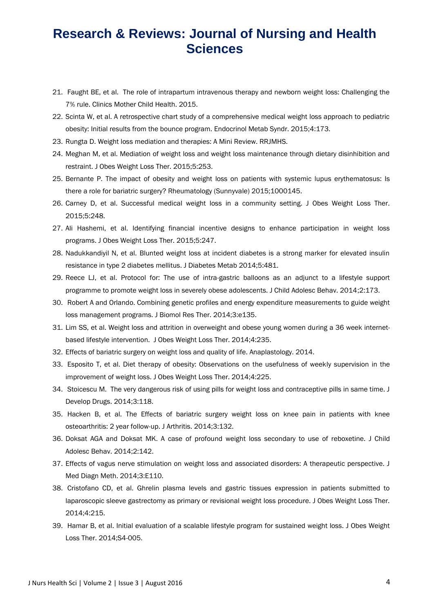- 21. Faught BE, et al. The role of intrapartum intravenous therapy and newborn weight loss: Challenging the 7% rule. Clinics Mother Child Health. 2015.
- 22. Scinta W, et al. A retrospective chart study of a comprehensive medical weight loss approach to pediatric obesity: Initial results from the bounce program. Endocrinol Metab Syndr. 2015;4:173.
- 23. Rungta D. Weight loss mediation and therapies: A Mini Review. RRJMHS.
- 24. Meghan M, et al. Mediation of weight loss and weight loss maintenance through dietary disinhibition and restraint. J Obes Weight Loss Ther. 2015;5:253.
- 25. Bernante P. The impact of obesity and weight loss on patients with systemic lupus erythematosus: Is there a role for bariatric surgery? Rheumatology (Sunnyvale) 2015;1000145.
- 26. Carney D, et al. Successful medical weight loss in a community setting. J Obes Weight Loss Ther. 2015;5:248.
- 27. Ali Hashemi, et al. Identifying financial incentive designs to enhance participation in weight loss programs. J Obes Weight Loss Ther. 2015;5:247.
- 28. Nadukkandiyil N, et al. Blunted weight loss at incident diabetes is a strong marker for elevated insulin resistance in type 2 diabetes mellitus. J Diabetes Metab 2014;5:481.
- 29. Reece LJ, et al. Protocol for: The use of intra-gastric balloons as an adjunct to a lifestyle support programme to promote weight loss in severely obese adolescents. J Child Adolesc Behav. 2014;2:173.
- 30. Robert A and Orlando. Combining genetic profiles and energy expenditure measurements to guide weight loss management programs. J Biomol Res Ther. 2014;3:e135.
- 31. Lim SS, et al. Weight loss and attrition in overweight and obese young women during a 36 week internetbased lifestyle intervention. J Obes Weight Loss Ther. 2014;4:235.
- 32. Effects of bariatric surgery on weight loss and quality of life. Anaplastology. 2014.
- 33. Esposito T, et al. Diet therapy of obesity: Observations on the usefulness of weekly supervision in the improvement of weight loss. J Obes Weight Loss Ther. 2014;4:225.
- 34. Stoicescu M. The very dangerous risk of using pills for weight loss and contraceptive pills in same time. J Develop Drugs. 2014;3:118.
- 35. Hacken B, et al. The Effects of bariatric surgery weight loss on knee pain in patients with knee osteoarthritis: 2 year follow-up. J Arthritis. 2014;3:132.
- 36. Doksat AGA and Doksat MK. A case of profound weight loss secondary to use of reboxetine. J Child Adolesc Behav. 2014;2:142.
- 37. Effects of vagus nerve stimulation on weight loss and associated disorders: A therapeutic perspective. J Med Diagn Meth. 2014;3:E110.
- 38. Cristofano CD, et al. Ghrelin plasma levels and gastric tissues expression in patients submitted to laparoscopic sleeve gastrectomy as primary or revisional weight loss procedure. J Obes Weight Loss Ther. 2014;4:215.
- 39. Hamar B, et al. Initial evaluation of a scalable lifestyle program for sustained weight loss. J Obes Weight Loss Ther. 2014;S4-005.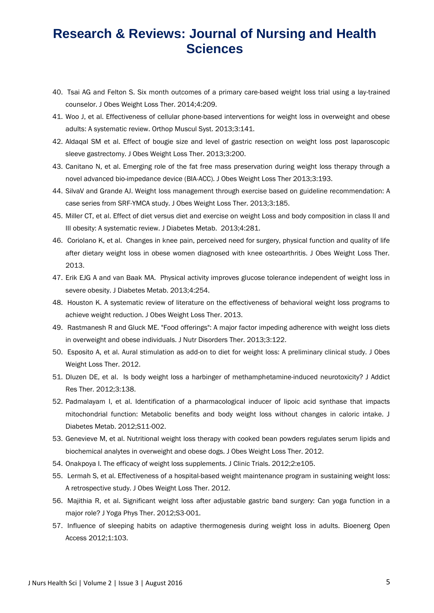- 40. Tsai AG and Felton S. Six month outcomes of a primary care-based weight loss trial using a lay-trained counselor. J Obes Weight Loss Ther. 2014;4:209.
- 41. Woo J, et al. Effectiveness of cellular phone-based interventions for weight loss in overweight and obese adults: A systematic review. Orthop Muscul Syst. 2013;3:141.
- 42. Aldaqal SM et al. Effect of bougie size and level of gastric resection on weight loss post laparoscopic sleeve gastrectomy. J Obes Weight Loss Ther. 2013;3:200.
- 43. Canitano N, et al. Emerging role of the fat free mass preservation during weight loss therapy through a novel advanced bio-impedance device (BIA-ACC). J Obes Weight Loss Ther 2013;3:193.
- 44. SilvaV and Grande AJ. Weight loss management through exercise based on guideline recommendation: A case series from SRF-YMCA study. J Obes Weight Loss Ther. 2013;3:185.
- 45. Miller CT, et al. Effect of diet versus diet and exercise on weight Loss and body composition in class II and III obesity: A systematic review. J Diabetes Metab. 2013;4:281.
- 46. Coriolano K, et al. Changes in knee pain, perceived need for surgery, physical function and quality of life after dietary weight loss in obese women diagnosed with knee osteoarthritis. J Obes Weight Loss Ther. 2013.
- 47. Erik EJG A and van Baak MA. Physical activity improves glucose tolerance independent of weight loss in severe obesity. J Diabetes Metab. 2013;4:254.
- 48. Houston K. A systematic review of literature on the effectiveness of behavioral weight loss programs to achieve weight reduction. J Obes Weight Loss Ther. 2013.
- 49. Rastmanesh R and Gluck ME. "Food offerings": A major factor impeding adherence with weight loss diets in overweight and obese individuals. J Nutr Disorders Ther. 2013;3:122.
- 50. Esposito A, et al. Aural stimulation as add-on to diet for weight loss: A preliminary clinical study. J Obes Weight Loss Ther. 2012.
- 51. Dluzen DE, et al. Is body weight loss a harbinger of methamphetamine-induced neurotoxicity? J Addict Res Ther. 2012;3:138.
- 52. Padmalayam I, et al. Identification of a pharmacological inducer of lipoic acid synthase that impacts mitochondrial function: Metabolic benefits and body weight loss without changes in caloric intake. J Diabetes Metab. 2012;S11-002.
- 53. Genevieve M, et al. Nutritional weight loss therapy with cooked bean powders regulates serum lipids and biochemical analytes in overweight and obese dogs. J Obes Weight Loss Ther. 2012.
- 54. Onakpoya I. The efficacy of weight loss supplements. J Clinic Trials. 2012;2:e105.
- 55. Lermah S, et al. Effectiveness of a hospital-based weight maintenance program in sustaining weight loss: A retrospective study. J Obes Weight Loss Ther. 2012.
- 56. Majithia R, et al. Significant weight loss after adjustable gastric band surgery: Can yoga function in a major role? J Yoga Phys Ther. 2012;S3-001.
- 57. Influence of sleeping habits on adaptive thermogenesis during weight loss in adults. Bioenerg Open Access 2012;1:103.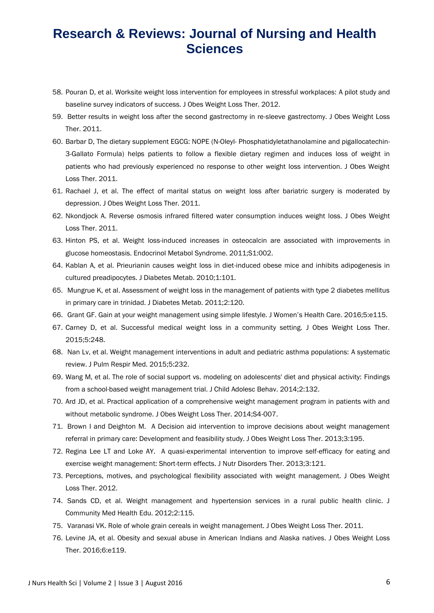- 58. Pouran D, et al. Worksite weight loss intervention for employees in stressful workplaces: A pilot study and baseline survey indicators of success. J Obes Weight Loss Ther. 2012.
- 59. Better results in weight loss after the second gastrectomy in re-sleeve gastrectomy. J Obes Weight Loss Ther. 2011.
- 60. Barbar D, The dietary supplement EGCG: NOPE (N-Oleyl- Phosphatidyletathanolamine and pigallocatechin-3-Gallato Formula) helps patients to follow a flexible dietary regimen and induces loss of weight in patients who had previously experienced no response to other weight loss intervention. J Obes Weight Loss Ther. 2011.
- 61. Rachael J, et al. The effect of marital status on weight loss after bariatric surgery is moderated by depression. J Obes Weight Loss Ther. 2011.
- 62. Nkondjock A. Reverse osmosis infrared filtered water consumption induces weight loss. J Obes Weight Loss Ther. 2011.
- 63. Hinton PS, et al. Weight loss-induced increases in osteocalcin are associated with improvements in glucose homeostasis. Endocrinol Metabol Syndrome. 2011;S1:002.
- 64. Kablan A, et al. Prieurianin causes weight loss in diet-induced obese mice and inhibits adipogenesis in cultured preadipocytes. J Diabetes Metab. 2010;1:101.
- 65. Mungrue K, et al. Assessment of weight loss in the management of patients with type 2 diabetes mellitus in primary care in trinidad. J Diabetes Metab. 2011;2:120.
- 66. Grant GF. Gain at your weight management using simple lifestyle. J Women's Health Care. 2016;5:e115.
- 67. Carney D, et al. Successful medical weight loss in a community setting. J Obes Weight Loss Ther. 2015;5:248.
- 68. Nan Lv, et al. Weight management interventions in adult and pediatric asthma populations: A systematic review. J Pulm Respir Med. 2015;5:232.
- 69. Wang M, et al. The role of social support vs. modeling on adolescents' diet and physical activity: Findings from a school-based weight management trial. J Child Adolesc Behav. 2014;2:132.
- 70. Ard JD, et al. Practical application of a comprehensive weight management program in patients with and without metabolic syndrome. J Obes Weight Loss Ther. 2014;S4-007.
- 71. Brown I and Deighton M. A Decision aid intervention to improve decisions about weight management referral in primary care: Development and feasibility study. J Obes Weight Loss Ther. 2013;3:195.
- 72. Regina Lee LT and Loke AY. A quasi-experimental intervention to improve self-efficacy for eating and exercise weight management: Short-term effects. J Nutr Disorders Ther. 2013;3:121.
- 73. Perceptions, motives, and psychological flexibility associated with weight management. J Obes Weight Loss Ther. 2012.
- 74. Sands CD, et al. Weight management and hypertension services in a rural public health clinic. J Community Med Health Edu. 2012;2:115.
- 75. Varanasi VK. Role of whole grain cereals in weight management. J Obes Weight Loss Ther. 2011.
- 76. Levine JA, et al. Obesity and sexual abuse in American Indians and Alaska natives. J Obes Weight Loss Ther. 2016;6:e119.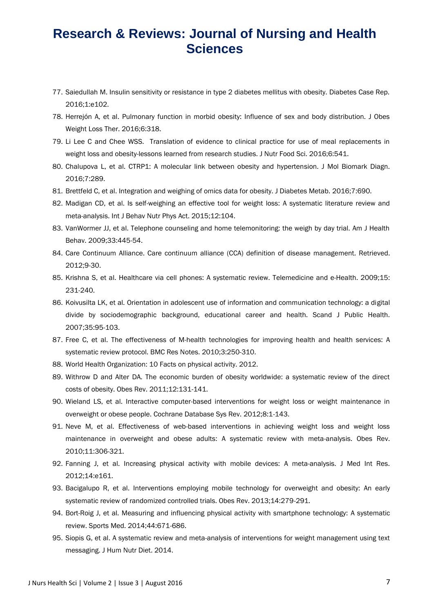- 77. Saiedullah M. Insulin sensitivity or resistance in type 2 diabetes mellitus with obesity. Diabetes Case Rep. 2016;1:e102.
- 78. Herrejón A, et al. Pulmonary function in morbid obesity: Influence of sex and body distribution. J Obes Weight Loss Ther. 2016;6:318.
- 79. Li Lee C and Chee WSS. Translation of evidence to clinical practice for use of meal replacements in weight loss and obesity-lessons learned from research studies. J Nutr Food Sci. 2016;6:541.
- 80. Chalupova L, et al. CTRP1: A molecular link between obesity and hypertension. J Mol Biomark Diagn. 2016;7:289.
- 81. Brettfeld C, et al. Integration and weighing of omics data for obesity. J Diabetes Metab. 2016;7:690.
- 82. Madigan CD, et al. Is self-weighing an effective tool for weight loss: A systematic literature review and meta-analysis. Int J Behav Nutr Phys Act. 2015;12:104.
- 83. VanWormer JJ, et al. Telephone counseling and home telemonitoring: the weigh by day trial. Am J Health Behav. 2009;33:445-54.
- 84. Care Continuum Alliance. Care continuum alliance (CCA) definition of disease management. Retrieved. 2012;9-30.
- 85. Krishna S, et al. Healthcare via cell phones: A systematic review. Telemedicine and e-Health. 2009;15: 231-240.
- 86. Koivusilta LK, et al. Orientation in adolescent use of information and communication technology: a digital divide by sociodemographic background, educational career and health. Scand J Public Health. 2007;35:95-103.
- 87. Free C, et al. The effectiveness of M-health technologies for improving health and health services: A systematic review protocol. BMC Res Notes. 2010;3:250-310.
- 88. World Health Organization: 10 Facts on physical activity. 2012.
- 89. Withrow D and Alter DA. The economic burden of obesity worldwide: a systematic review of the direct costs of obesity. Obes Rev. 2011;12:131-141.
- 90. Wieland LS, et al. Interactive computer-based interventions for weight loss or weight maintenance in overweight or obese people. Cochrane Database Sys Rev. 2012;8:1-143.
- 91. Neve M, et al. Effectiveness of web-based interventions in achieving weight loss and weight loss maintenance in overweight and obese adults: A systematic review with meta-analysis. Obes Rev. 2010;11:306-321.
- 92. Fanning J, et al. Increasing physical activity with mobile devices: A meta-analysis. J Med Int Res. 2012;14:e161.
- 93. Bacigalupo R, et al. Interventions employing mobile technology for overweight and obesity: An early systematic review of randomized controlled trials. Obes Rev. 2013;14:279-291.
- 94. Bort-Roig J, et al. Measuring and influencing physical activity with smartphone technology: A systematic review. Sports Med. 2014;44:671-686.
- 95. Siopis G, et al. A systematic review and meta-analysis of interventions for weight management using text messaging. J Hum Nutr Diet. 2014.